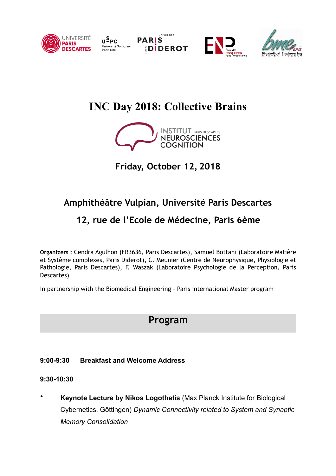

U<sup>S</sup>PC Université Sorbonne<br>Paris Cité







# **INC Day 2018: Collective Brains**



## **Friday, October 12, 2018**

### **Amphithéâtre Vulpian, Université Paris Descartes**

### **12, rue de l'Ecole de Médecine, Paris 6ème**

**Organizers :** Cendra Agulhon (FR3636, Paris Descartes), Samuel Bottani (Laboratoire Matière et Système complexes, Paris Diderot), C. Meunier (Centre de Neurophysique, Physiologie et Pathologie, Paris Descartes), F. Waszak (Laboratoire Psychologie de la Perception, Paris Descartes)

In partnership with the Biomedical Engineering – Paris international Master program

### **Program**

#### **9:00-9:30 Breakfast and Welcome Address**

#### **9:30-10:30**

• **Keynote Lecture by Nikos Logothetis** (Max Planck Institute for Biological Cybernetics, Göttingen) *Dynamic Connectivity related to System and Synaptic Memory Consolidation*